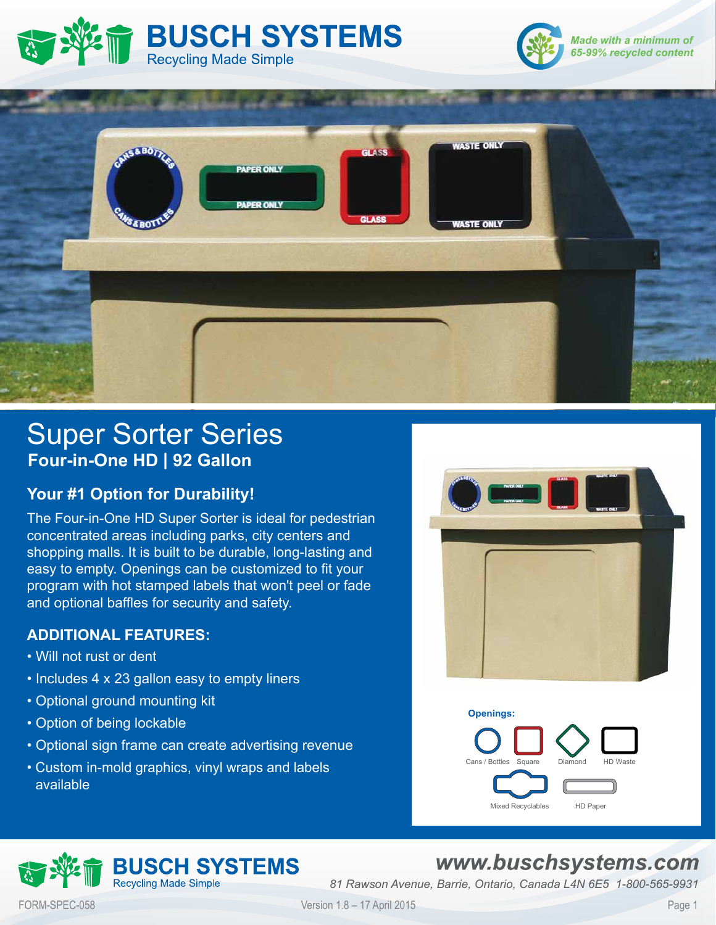





# Super Sorter Series **Four-in-One HD | 92 Gallon**

## **Your #1 Option for Durability!**

The Four-in-One HD Super Sorter is ideal for pedestrian concentrated areas including parks, city centers and shopping malls. It is built to be durable, long-lasting and easy to empty. Openings can be customized to fit your program with hot stamped labels that won't peel or fade and optional baffles for security and safety.

### **ADDITIONAL FEATURES:**

- Will not rust or dent
- Includes 4 x 23 gallon easy to empty liners
- Optional ground mounting kit
- Option of being lockable
- Optional sign frame can create advertising revenue
- Custom in-mold graphics, vinyl wraps and labels available





## **BUSCH SYSTEMS Recycling Made Simple**

## www.buschsystems.com

*81 Rawson Avenue, Barrie, Ontario, Canada L4N 6E5 1-800-565-9931*